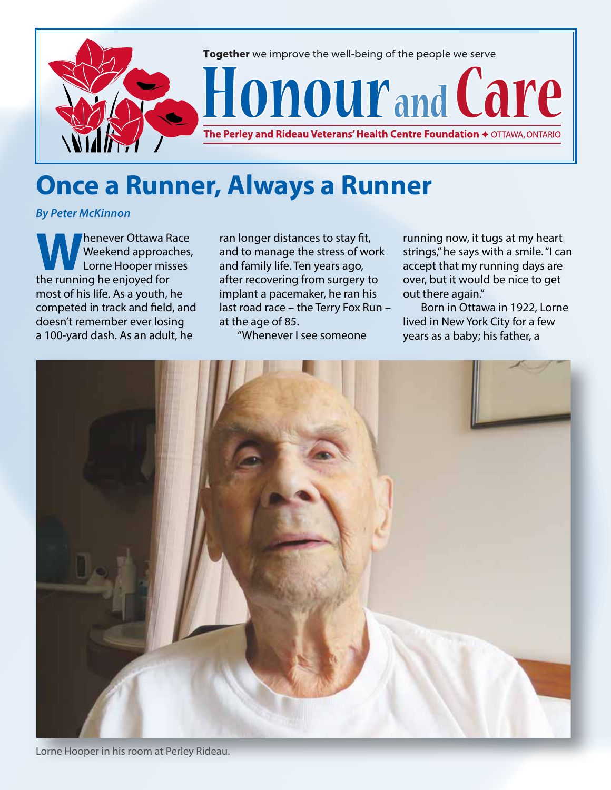

## **Once a Runner, Always a Runner**

*By Peter McKinnon*

**Weekend approaches,<br>
Weekend approaches,<br>
the running he enjoyed for** Weekend approaches, Lorne Hooper misses the running he enjoyed for most of his life. As a youth, he competed in track and field, and doesn't remember ever losing a 100-yard dash. As an adult, he

ran longer distances to stay fit, and to manage the stress of work and family life. Ten years ago, after recovering from surgery to implant a pacemaker, he ran his last road race – the Terry Fox Run – at the age of 85.

"Whenever I see someone

running now, it tugs at my heart strings," he says with a smile. "I can accept that my running days are over, but it would be nice to get out there again."

Born in Ottawa in 1922, Lorne lived in New York City for a few years as a baby; his father, a



Lorne Hooper in his room at Perley Rideau.